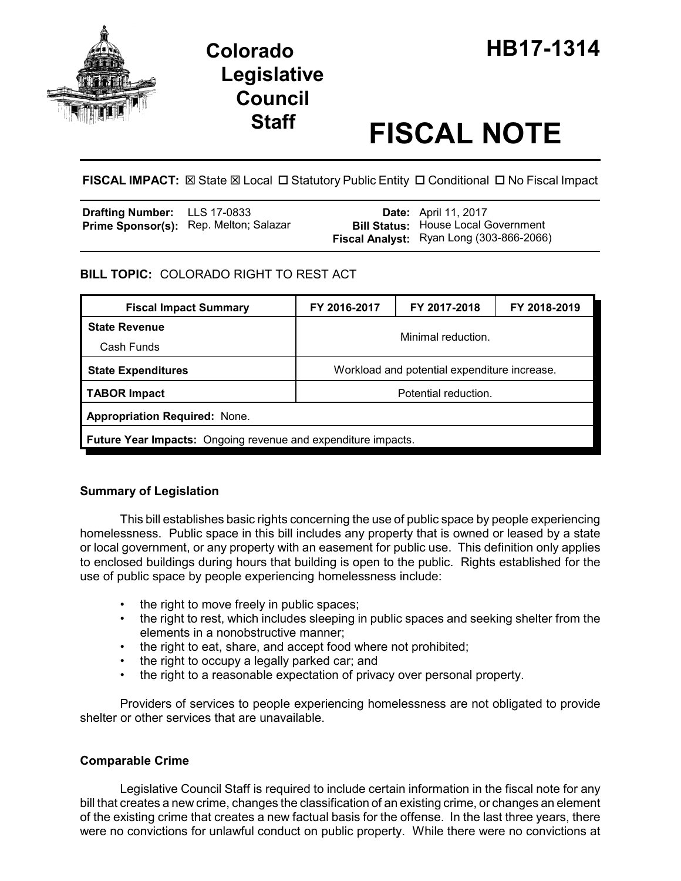

# **Legislative Council**

# **Staff FISCAL NOTE**

FISCAL IMPACT:  $\boxtimes$  State  $\boxtimes$  Local  $\Box$  Statutory Public Entity  $\Box$  Conditional  $\Box$  No Fiscal Impact

| <b>Drafting Number:</b> LLS 17-0833 |                                               | <b>Date:</b> April 11, 2017                |
|-------------------------------------|-----------------------------------------------|--------------------------------------------|
|                                     | <b>Prime Sponsor(s):</b> Rep. Melton; Salazar | <b>Bill Status: House Local Government</b> |
|                                     |                                               | Fiscal Analyst: Ryan Long (303-866-2066)   |

# **BILL TOPIC:** COLORADO RIGHT TO REST ACT

| <b>Fiscal Impact Summary</b>                                         | FY 2016-2017                                 | FY 2017-2018 | FY 2018-2019 |  |
|----------------------------------------------------------------------|----------------------------------------------|--------------|--------------|--|
| <b>State Revenue</b>                                                 | Minimal reduction.                           |              |              |  |
| Cash Funds                                                           |                                              |              |              |  |
| <b>State Expenditures</b>                                            | Workload and potential expenditure increase. |              |              |  |
| <b>TABOR Impact</b><br>Potential reduction.                          |                                              |              |              |  |
| <b>Appropriation Required: None.</b>                                 |                                              |              |              |  |
| <b>Future Year Impacts:</b> Ongoing revenue and expenditure impacts. |                                              |              |              |  |

# **Summary of Legislation**

This bill establishes basic rights concerning the use of public space by people experiencing homelessness. Public space in this bill includes any property that is owned or leased by a state or local government, or any property with an easement for public use. This definition only applies to enclosed buildings during hours that building is open to the public. Rights established for the use of public space by people experiencing homelessness include:

- the right to move freely in public spaces;
- the right to rest, which includes sleeping in public spaces and seeking shelter from the elements in a nonobstructive manner;
- the right to eat, share, and accept food where not prohibited;
- the right to occupy a legally parked car; and
- the right to a reasonable expectation of privacy over personal property.

Providers of services to people experiencing homelessness are not obligated to provide shelter or other services that are unavailable.

# **Comparable Crime**

Legislative Council Staff is required to include certain information in the fiscal note for any bill that creates a new crime, changes the classification of an existing crime, or changes an element of the existing crime that creates a new factual basis for the offense. In the last three years, there were no convictions for unlawful conduct on public property. While there were no convictions at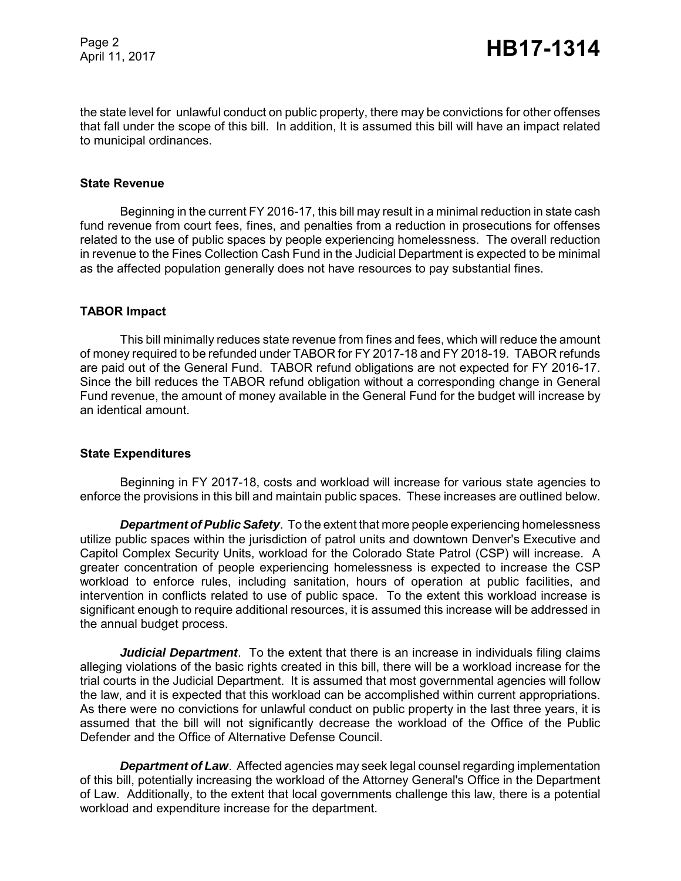Page 2

the state level for unlawful conduct on public property, there may be convictions for other offenses that fall under the scope of this bill. In addition, It is assumed this bill will have an impact related to municipal ordinances.

#### **State Revenue**

Beginning in the current FY 2016-17, this bill may result in a minimal reduction in state cash fund revenue from court fees, fines, and penalties from a reduction in prosecutions for offenses related to the use of public spaces by people experiencing homelessness. The overall reduction in revenue to the Fines Collection Cash Fund in the Judicial Department is expected to be minimal as the affected population generally does not have resources to pay substantial fines.

#### **TABOR Impact**

This bill minimally reduces state revenue from fines and fees, which will reduce the amount of money required to be refunded under TABOR for FY 2017-18 and FY 2018-19. TABOR refunds are paid out of the General Fund. TABOR refund obligations are not expected for FY 2016-17. Since the bill reduces the TABOR refund obligation without a corresponding change in General Fund revenue, the amount of money available in the General Fund for the budget will increase by an identical amount.

#### **State Expenditures**

Beginning in FY 2017-18, costs and workload will increase for various state agencies to enforce the provisions in this bill and maintain public spaces. These increases are outlined below.

*Department of Public Safety*. To the extent that more people experiencing homelessness utilize public spaces within the jurisdiction of patrol units and downtown Denver's Executive and Capitol Complex Security Units, workload for the Colorado State Patrol (CSP) will increase. A greater concentration of people experiencing homelessness is expected to increase the CSP workload to enforce rules, including sanitation, hours of operation at public facilities, and intervention in conflicts related to use of public space. To the extent this workload increase is significant enough to require additional resources, it is assumed this increase will be addressed in the annual budget process.

*Judicial Department*. To the extent that there is an increase in individuals filing claims alleging violations of the basic rights created in this bill, there will be a workload increase for the trial courts in the Judicial Department. It is assumed that most governmental agencies will follow the law, and it is expected that this workload can be accomplished within current appropriations. As there were no convictions for unlawful conduct on public property in the last three years, it is assumed that the bill will not significantly decrease the workload of the Office of the Public Defender and the Office of Alternative Defense Council.

**Department of Law**. Affected agencies may seek legal counsel regarding implementation of this bill, potentially increasing the workload of the Attorney General's Office in the Department of Law. Additionally, to the extent that local governments challenge this law, there is a potential workload and expenditure increase for the department.